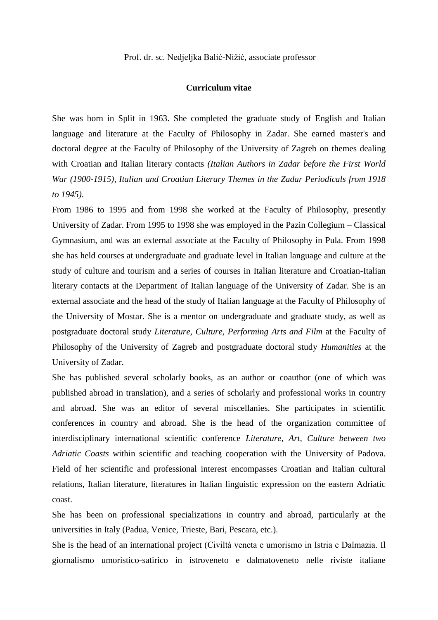## **Curriculum vitae**

She was born in Split in 1963. She completed the graduate study of English and Italian language and literature at the Faculty of Philosophy in Zadar. She earned master's and doctoral degree at the Faculty of Philosophy of the University of Zagreb on themes dealing with Croatian and Italian literary contacts *(Italian Authors in Zadar before the First World War (1900-1915), Italian and Croatian Literary Themes in the Zadar Periodicals from 1918 to 1945)*.

From 1986 to 1995 and from 1998 she worked at the Faculty of Philosophy, presently University of Zadar. From 1995 to 1998 she was employed in the Pazin Collegium – Classical Gymnasium, and was an external associate at the Faculty of Philosophy in Pula. From 1998 she has held courses at undergraduate and graduate level in Italian language and culture at the study of culture and tourism and a series of courses in Italian literature and Croatian-Italian literary contacts at the Department of Italian language of the University of Zadar. She is an external associate and the head of the study of Italian language at the Faculty of Philosophy of the University of Mostar. She is a mentor on undergraduate and graduate study, as well as postgraduate doctoral study *Literature, Culture, Performing Arts and Film* at the Faculty of Philosophy of the University of Zagreb and postgraduate doctoral study *Humanities* at the University of Zadar.

She has published several scholarly books, as an author or coauthor (one of which was published abroad in translation), and a series of scholarly and professional works in country and abroad. She was an editor of several miscellanies. She participates in scientific conferences in country and abroad. She is the head of the organization committee of interdisciplinary international scientific conference *Literature, Art, Culture between two Adriatic Coasts* within scientific and teaching cooperation with the University of Padova. Field of her scientific and professional interest encompasses Croatian and Italian cultural relations, Italian literature, literatures in Italian linguistic expression on the eastern Adriatic coast.

She has been on professional specializations in country and abroad, particularly at the universities in Italy (Padua, Venice, Trieste, Bari, Pescara, etc.).

She is the head of an international project (Civiltà veneta e umorismo in Istria e Dalmazia. Il giornalismo umoristico-satirico in istroveneto e dalmatoveneto nelle riviste italiane